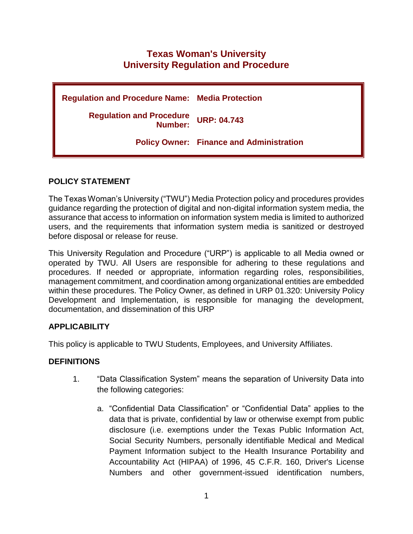# **Texas Woman's University University Regulation and Procedure**

| <b>Regulation and Procedure Name: Media Protection</b> |                                                 |
|--------------------------------------------------------|-------------------------------------------------|
| <b>Regulation and Procedure</b><br>Number:             | <b>URP: 04.743</b>                              |
|                                                        | <b>Policy Owner: Finance and Administration</b> |

## **POLICY STATEMENT**

The Texas Woman's University ("TWU") Media Protection policy and procedures provides guidance regarding the protection of digital and non-digital information system media, the assurance that access to information on information system media is limited to authorized users, and the requirements that information system media is sanitized or destroyed before disposal or release for reuse.

This University Regulation and Procedure ("URP") is applicable to all Media owned or operated by TWU. All Users are responsible for adhering to these regulations and procedures. If needed or appropriate, information regarding roles, responsibilities, management commitment, and coordination among organizational entities are embedded within these procedures. The Policy Owner, as defined in URP 01.320: University Policy Development and Implementation, is responsible for managing the development, documentation, and dissemination of this URP

### **APPLICABILITY**

This policy is applicable to TWU Students, Employees, and University Affiliates.

### **DEFINITIONS**

- 1. "Data Classification System" means the separation of University Data into the following categories:
	- a. "Confidential Data Classification" or "Confidential Data" applies to the data that is private, confidential by law or otherwise exempt from public disclosure (i.e. exemptions under the Texas Public Information Act, Social Security Numbers, personally identifiable Medical and Medical Payment Information subject to the Health Insurance Portability and Accountability Act (HIPAA) of 1996, 45 C.F.R. 160, Driver's License Numbers and other government-issued identification numbers,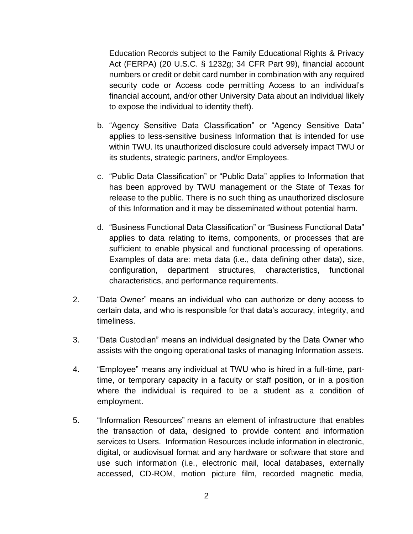Education Records subject to the Family Educational Rights & Privacy Act (FERPA) (20 U.S.C. § 1232g; 34 CFR Part 99), financial account numbers or credit or debit card number in combination with any required security code or Access code permitting Access to an individual's financial account, and/or other University Data about an individual likely to expose the individual to identity theft).

- b. "Agency Sensitive Data Classification" or "Agency Sensitive Data" applies to less-sensitive business Information that is intended for use within TWU. Its unauthorized disclosure could adversely impact TWU or its students, strategic partners, and/or Employees.
- c. "Public Data Classification" or "Public Data" applies to Information that has been approved by TWU management or the State of Texas for release to the public. There is no such thing as unauthorized disclosure of this Information and it may be disseminated without potential harm.
- d. "Business Functional Data Classification" or "Business Functional Data" applies to data relating to items, components, or processes that are sufficient to enable physical and functional processing of operations. Examples of data are: meta data (i.e., data defining other data), size, configuration, department structures, characteristics, functional characteristics, and performance requirements.
- 2. "Data Owner" means an individual who can authorize or deny access to certain data, and who is responsible for that data's accuracy, integrity, and timeliness.
- 3. "Data Custodian" means an individual designated by the Data Owner who assists with the ongoing operational tasks of managing Information assets.
- 4. "Employee" means any individual at TWU who is hired in a full-time, parttime, or temporary capacity in a faculty or staff position, or in a position where the individual is required to be a student as a condition of employment.
- 5. "Information Resources" means an element of infrastructure that enables the transaction of data, designed to provide content and information services to Users. Information Resources include information in electronic, digital, or audiovisual format and any hardware or software that store and use such information (i.e., electronic mail, local databases, externally accessed, CD-ROM, motion picture film, recorded magnetic media,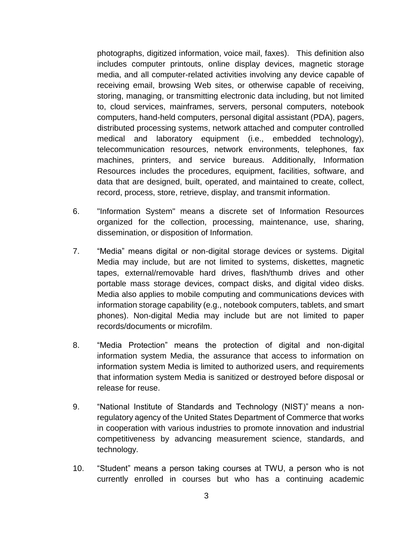photographs, digitized information, voice mail, faxes). This definition also includes computer printouts, online display devices, magnetic storage media, and all computer-related activities involving any device capable of receiving email, browsing Web sites, or otherwise capable of receiving, storing, managing, or transmitting electronic data including, but not limited to, cloud services, mainframes, servers, personal computers, notebook computers, hand-held computers, personal digital assistant (PDA), pagers, distributed processing systems, network attached and computer controlled medical and laboratory equipment (i.e., embedded technology), telecommunication resources, network environments, telephones, fax machines, printers, and service bureaus. Additionally, Information Resources includes the procedures, equipment, facilities, software, and data that are designed, built, operated, and maintained to create, collect, record, process, store, retrieve, display, and transmit information.

- 6. "Information System" means a discrete set of Information Resources organized for the collection, processing, maintenance, use, sharing, dissemination, or disposition of Information.
- 7. "Media" means digital or non-digital storage devices or systems. Digital Media may include, but are not limited to systems, diskettes, magnetic tapes, external/removable hard drives, flash/thumb drives and other portable mass storage devices, compact disks, and digital video disks. Media also applies to mobile computing and communications devices with information storage capability (e.g., notebook computers, tablets, and smart phones). Non-digital Media may include but are not limited to paper records/documents or microfilm.
- 8. "Media Protection" means the protection of digital and non-digital information system Media, the assurance that access to information on information system Media is limited to authorized users, and requirements that information system Media is sanitized or destroyed before disposal or release for reuse.
- 9. "National Institute of Standards and Technology (NIST)" means a nonregulatory agency of the United States Department of Commerce that works in cooperation with various industries to promote innovation and industrial competitiveness by advancing measurement science, standards, and technology.
- 10. "Student" means a person taking courses at TWU, a person who is not currently enrolled in courses but who has a continuing academic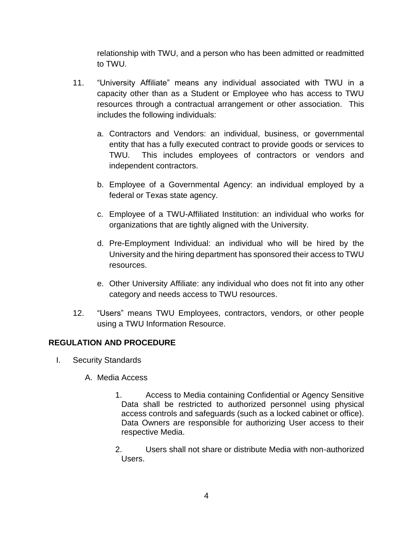relationship with TWU, and a person who has been admitted or readmitted to TWU.

- 11. "University Affiliate" means any individual associated with TWU in a capacity other than as a Student or Employee who has access to TWU resources through a contractual arrangement or other association. This includes the following individuals:
	- a. Contractors and Vendors: an individual, business, or governmental entity that has a fully executed contract to provide goods or services to TWU. This includes employees of contractors or vendors and independent contractors.
	- b. Employee of a Governmental Agency: an individual employed by a federal or Texas state agency.
	- c. Employee of a TWU-Affiliated Institution: an individual who works for organizations that are tightly aligned with the University.
	- d. Pre-Employment Individual: an individual who will be hired by the University and the hiring department has sponsored their access to TWU resources.
	- e. Other University Affiliate: any individual who does not fit into any other category and needs access to TWU resources.
- 12. "Users" means TWU Employees, contractors, vendors, or other people using a TWU Information Resource.

### **REGULATION AND PROCEDURE**

- I. Security Standards
	- A. Media Access
		- 1. Access to Media containing Confidential or Agency Sensitive Data shall be restricted to authorized personnel using physical access controls and safeguards (such as a locked cabinet or office). Data Owners are responsible for authorizing User access to their respective Media.
		- 2. Users shall not share or distribute Media with non-authorized Users.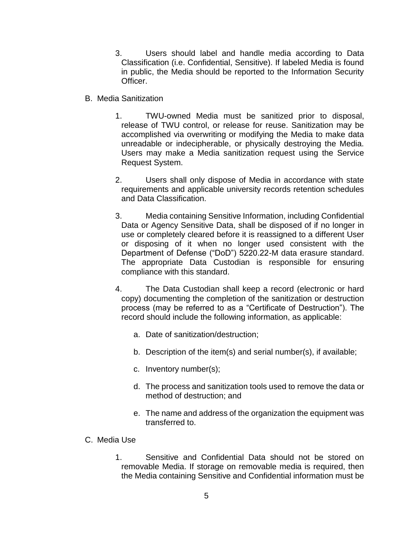- 3. Users should label and handle media according to Data Classification (i.e. Confidential, Sensitive). If labeled Media is found in public, the Media should be reported to the Information Security Officer.
- B. Media Sanitization
	- 1. TWU-owned Media must be sanitized prior to disposal, release of TWU control, or release for reuse. Sanitization may be accomplished via overwriting or modifying the Media to make data unreadable or indecipherable, or physically destroying the Media. Users may make a Media sanitization request using the Service Request System.
	- 2. Users shall only dispose of Media in accordance with state requirements and applicable university records retention schedules and Data Classification.
	- 3. Media containing Sensitive Information, including Confidential Data or Agency Sensitive Data, shall be disposed of if no longer in use or completely cleared before it is reassigned to a different User or disposing of it when no longer used consistent with the Department of Defense ("DoD") 5220.22-M data erasure standard. The appropriate Data Custodian is responsible for ensuring compliance with this standard.
	- 4. The Data Custodian shall keep a record (electronic or hard copy) documenting the completion of the sanitization or destruction process (may be referred to as a "Certificate of Destruction"). The record should include the following information, as applicable:
		- a. Date of sanitization/destruction;
		- b. Description of the item(s) and serial number(s), if available;
		- c. Inventory number(s);
		- d. The process and sanitization tools used to remove the data or method of destruction; and
		- e. The name and address of the organization the equipment was transferred to.
- C. Media Use
	- 1. Sensitive and Confidential Data should not be stored on removable Media. If storage on removable media is required, then the Media containing Sensitive and Confidential information must be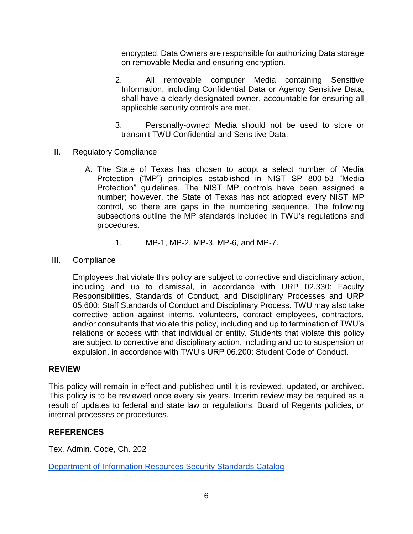encrypted. Data Owners are responsible for authorizing Data storage on removable Media and ensuring encryption.

- 2. All removable computer Media containing Sensitive Information, including Confidential Data or Agency Sensitive Data, shall have a clearly designated owner, accountable for ensuring all applicable security controls are met.
- 3. Personally-owned Media should not be used to store or transmit TWU Confidential and Sensitive Data.
- II. Regulatory Compliance
	- A. The State of Texas has chosen to adopt a select number of Media Protection ("MP") principles established in NIST SP 800-53 "Media Protection" guidelines. The NIST MP controls have been assigned a number; however, the State of Texas has not adopted every NIST MP control, so there are gaps in the numbering sequence. The following subsections outline the MP standards included in TWU's regulations and procedures.
		- 1. MP-1, MP-2, MP-3, MP-6, and MP-7.
- III. Compliance

Employees that violate this policy are subject to corrective and disciplinary action, including and up to dismissal, in accordance with URP 02.330: Faculty Responsibilities, Standards of Conduct, and Disciplinary Processes and URP 05.600: Staff Standards of Conduct and Disciplinary Process. TWU may also take corrective action against interns, volunteers, contract employees, contractors, and/or consultants that violate this policy, including and up to termination of TWU's relations or access with that individual or entity. Students that violate this policy are subject to corrective and disciplinary action, including and up to suspension or expulsion, in accordance with TWU's URP 06.200: Student Code of Conduct.

#### **REVIEW**

This policy will remain in effect and published until it is reviewed, updated, or archived. This policy is to be reviewed once every six years. Interim review may be required as a result of updates to federal and state law or regulations, Board of Regents policies, or internal processes or procedures.

#### **REFERENCES**

Tex. Admin. Code, Ch. 202

[Department of Information Resources Security Standards Catalog](https://dir.texas.gov/sites/default/files/2022-01/DIR%20Security%20Control%20Standards%20Catalog%202.0.pdf)